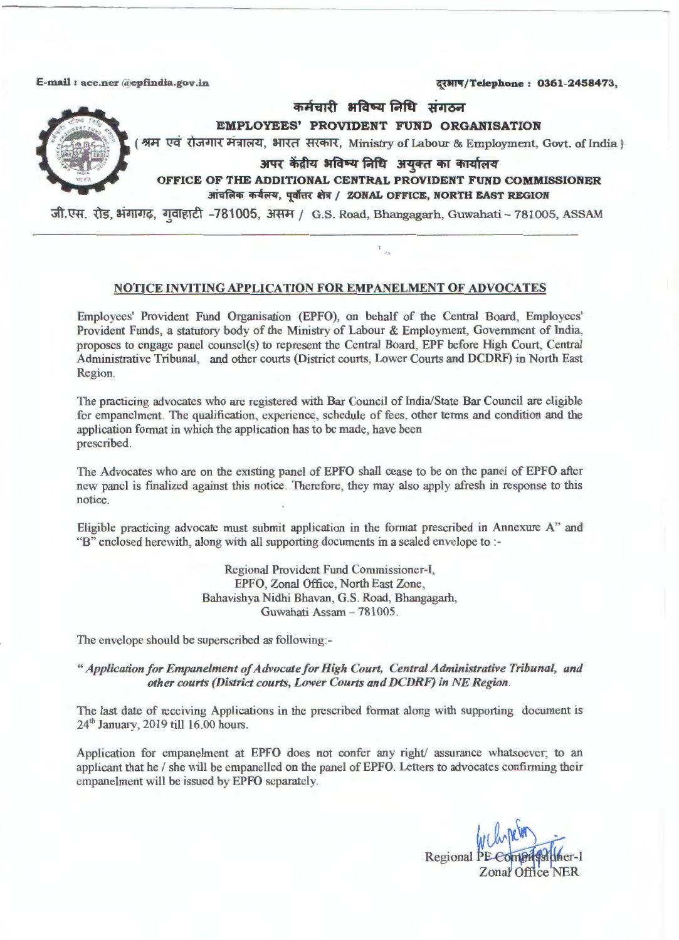E-mail: acc.ner *(depfindia.gov.in*  $\overline{q}$ ,  $\overline{q}$ ,  $\overline{q}$ ,  $\overline{q}$ ,  $\overline{q}$ ,  $\overline{q}$ ,  $\overline{q}$ ,  $\overline{q}$ ,  $\overline{q}$ ,  $\overline{q}$ ,  $\overline{q}$ ,  $\overline{q}$ ,  $\overline{q}$ ,  $\overline{q}$ ,  $\overline{q}$ ,  $\overline{q}$ ,  $\overline{q}$ ,  $\overline{q}$ ,  $\overline{q$ 



कर्मचारी भविष्य निधि संगठन

**EMPLOYEES' PROVIDENT FUND ORGANISATION** 

श्रम एवं रोजगार मंत्रालय, भारत सरकार, Ministry of Labour & Employment, Govt. of India }

अपर केंद्रीय भविष्य निधि अयुक्त का कार्यालय

 $\tau_{\rm obs}$ 

**OFFICE OF THE ADDITIONAL CENTRAL PROVIDENT FUND COMMISSIONER**   $31$  **i** चलिक कर्यलय, पूर्वोत्तर क्षेत्र / ZONAL OFFICE, NORTH EAST REGION

जी.एस. रोड, भंगागढ़, गवाहाटी -781005, असम / G.S. Road, Bhangagarh, Guwahati - 781005, ASSAM

## **NOTICE INVITING APPLICATION FOR EMPANELMENT OF ADVOCATES**

Employees' Provident Fund Organisation (EPFO), on behalf of the Central Board, Employees' Provident Funds, a statutory body of the Ministry of Labour & Employment, Government of India, proposes to engage panel counsel(s) to represent the Central Board, EPF before High Court, Central Administrative Tribunal, and other courts (District courts, Lower Courts and DCDRF) in North East Region.

The practicing advocates who are registered with Bar Council of India/State Bar Council are eligible for empanelment. The qualification, experience, schedule of fees, other terms and condition and the application format in which the application has to be made, have been prescribed.

The Advocates who are on the existing panel of EPFO shall cease to be on the panel of EPFO after new panel is finalized against this notice. Therefore, they may also apply afresh in response to this notice.

Eligible practicing advocate must submit application in the format prescribed in Annexure A" and "B" enclosed herewith, along with all supporting documents in a sealed envelope to :-

> Regional Provident Fund Commissioner-I, EPFO, Zonal Office, North East Zone, Bahavishya Nidhi Bhavan, G.S. Road, Bhangagarh, Guwahati Assam - 781005.

The envelope should be superscribed as following:-

" *Application for Empanelment of Advocate for High Court, Central Administrative Tribunal, and other courts (District courts, Lower Courts and DCDRF) in NE Region.* 

The last date of receiving Applications in the prescribed format along with supporting document is 24th January, 2019 till 16.00 hours.

Application for empanelment at EPFO does not confer any right/ assurance whatsoever; to an applicant that he/ she will be empanelled on the panel of EPFO. Letters to advocates confirming their empanelment will be issued by EPFO separately.

Regional PE-Compa salufier-1<br>Zonal Office NER.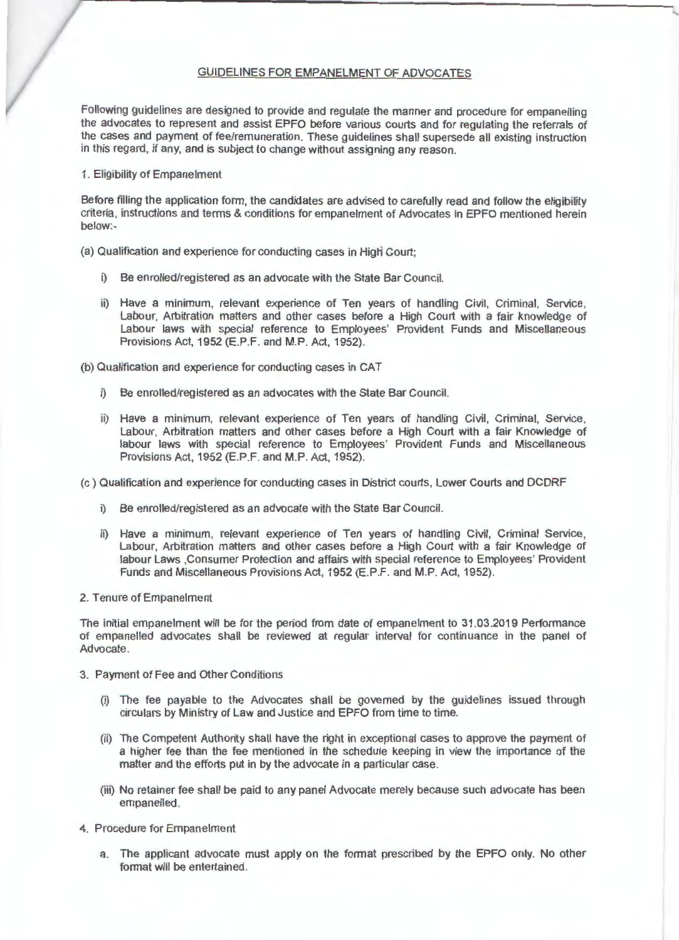### GUIDELINES FOR EMPANELMENT OF ADVOCATES

Following guidelines are designed to provide and regulate the manner and procedure for empanelling the advocates to represent and assist EPFO before various courts and for regulating the referrals of the cases and payment of fee/remuneration. These guidelines shall supersede all existing instruction in this regard, if any, and is subject to change without assigning any reason.

1. Eligibility of Empanelment

Before filling the application fonn, the candidates are advised to carefully read and follow the eligibility criteria, instructions and terms & conditions for empanelment of Advocates in EPFO mentioned herein below:~

(a) Qualification and experience for conducting cases in High Court;

- i) Be enrolled/registered as an advocate with the State Bar Council.
- ii) Have a minimum, relevant experience of Ten years of handling Civil, Criminal, Service, Labour, Arbitration matters and other cases before a High Court with a fair knowledge of Labour laws with special reference to Employees' Provident Funds and Miscellaneous Provisions Act, 1952 (E.P.F. and M.P. Act, 1952).

(b) Qualification and experience for conducting cases in CAT

- i) Be enrolled/registered as an advocates with the State Bar Council.
- ii) Have a minimum, relevant experience of Ten years of handling Civil, Criminal, Service, Labour, Arbitration matters and other cases before a High Court with a fair Knowledge of labour laws with special reference to Employees' Provident Funds and Miscellaneous Provisions Act, 1952 (E.P.F. and **M.P.** Act, 1952).
- (c) Qualification and experience for conducting cases in District courts, Lower Courts and DCDRF
	- i) Be enrolled/registered as an advocate with the State Bar Council.
	- ii) Have a minimum, relevant experience of Ten years of handling Civil, Criminal Service, Labour, Arbitration matters and other cases before a High Court with a fair Knowledge of labour Laws ,Consumer Protection and affairs with special reference to Employees' Provident Funds and Miscellaneous Provisions Act, 1952 (E.P.F. and **M.P.** Act, 1952).
- 2. Tenure of Empanelment

The initial empanelment will be for the period from date of empanelment to 31 .03.2019 Performance of empanelled advocates shall be reviewed at regular interval for continuance in the panel of Advocate.

- 3. Payment of Fee and Other Conditions
	- (i) The fee payable to the Advocates shall be governed by the guidelines issued through circulars by Ministry of Law and Justice and EPFO from time to time.
	- (ii) The Competent Authority shall have the right in exceptional cases to approve the payment of a higher fee than the fee mentioned in the schedule keeping in view the importance of the matter and the efforts put in by the advocate in a particular case.
	- (iii) No retainer fee shall be paid to any panel Advocate merely because such advocate has been empanelled .
- 4. Procedure for Empanelment
	- a. The applicant advocate must apply on the fonnat prescribed by the EPFO only. No other format will be entertained.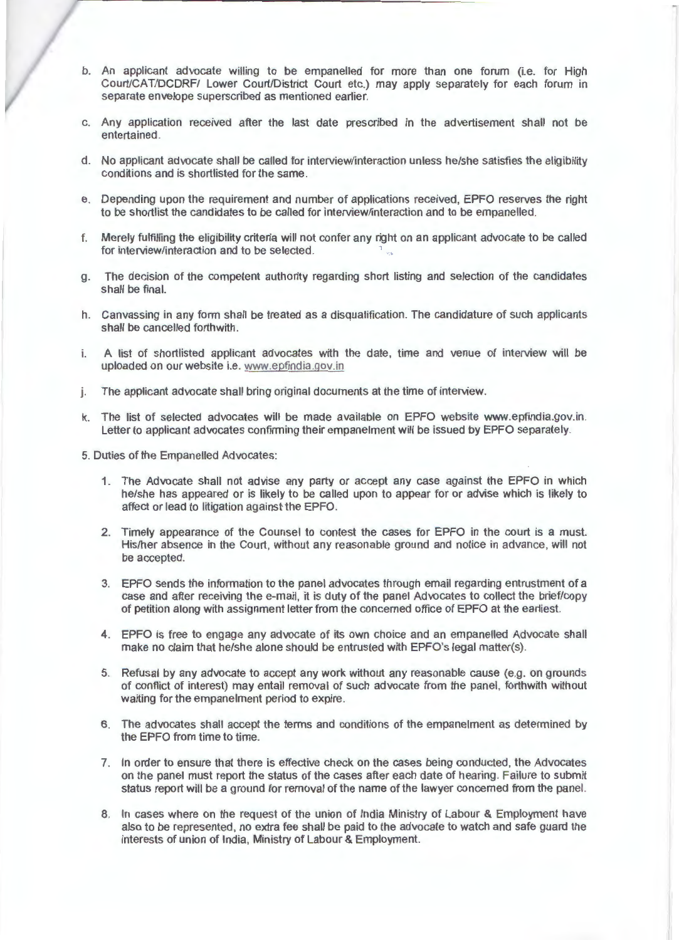- b. An applicant advocate willing to be empanelled for more than one forum (i.e. for High Court/CAT/DCDRF/ Lower Court/District Court etc.) may apply separately for each forum in separate envelope superscribed as mentioned earlier.
- c. Any application received after the last date prescribed in the advertisement shall not be entertained .
- d. No applicant advocate shall be called for interview/interaction unless he/she satisfies the eligibility conditions and is shortlisted for the same.
- e. Depending upon the requirement and number of applications received, EPFO reserves the right to be shortlist the candidates to be called for interview/interaction and to be empanelled.
- f. Merely fulfilling the eligibility criteria will not confer any right on an applicant advocate to be called for interview/interaction and to be selected.
- g. The decision of the competent authority regarding short listing and selection of the candidates shall be final.
- h. Canvassing in any form shall be treated as a disqualification. The candidature of such applicants shall be cancelled forthwith .
- i. A list of shortlisted applicant advocates with the date, time and venue of interview will be uploaded on our website i.e. www.epfindia.gov.in
- j. The applicant advocate shall bring original documents at the time of interview.
- k. The list of selected advocates will be made available on EPFO website www.epfindia.gov.in . Letter to applicant advocates confirming their empanelment will be issued by EPFO separately.
- 5. Duties of the Empanelled Advocates:
	- 1. The Advocate shall not advise any party or accept any case against the EPFO in which he/she has appeared or is likely to be called upon to appear for or advise which is likely to affect or lead to litigation against the EPFO.
	- 2. Timely appearance of the Counsel to contest the cases for EPFO in the court is a must. His/her absence in the Court, without any reasonable ground and notice in advance, will not be accepted.
	- 3. EPFO sends the information to the panel advocates through email regarding entrustment of a case and after receiving the e-mail, it is duty of the panel Advocates to collect the brief/copy of petition along with assignment letter from the concerned office of EPFO at the earliest.
	- 4. EPFO is free to engage any advocate of its own choice and an empanelled Advocate shall make no claim that he/she alone should be entrusted with EPFO's legal matter(s).
	- 5. Refusal by any advocate to accept any work without any reasonable cause (e.g. on grounds of conflict of interest) may entail removal of such advocate from the panel, forthwith without waiting for the empanelment period to expire.
	- 6. The advocates shall accept the terms and conditions of the empanelment as determined by the EPFO from time to time.
	- 7. In order to ensure that there is effective check on the cases being conducted , the Advocates on the panel must report the status of the cases after each date of hearing. Failure to submit status report will be a ground for removal of the name of the lawyer concerned from the panel.
	- 8. In cases where on the request of the union of India Ministry of Labour & Employment have also to be represented, no extra fee shall be paid to the advocate to watch and safe guard the interests of union of India, Ministry of Labour & Employment.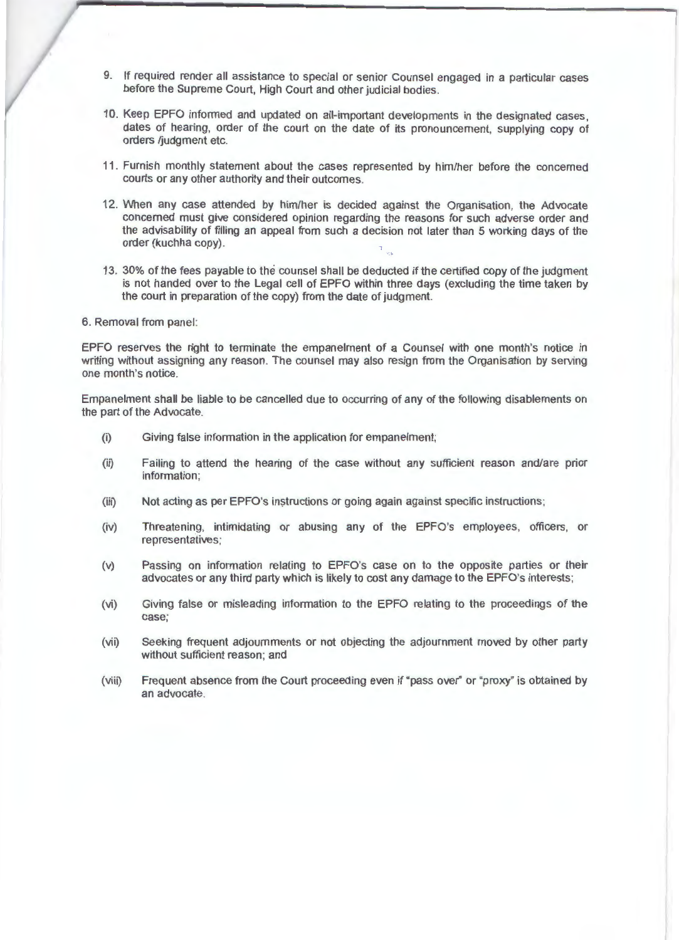- 9. If required render all assistance to special or senior Counsel engaged in a particular cases before the Supreme Court, High Court and other judicial bodies.
- 10. Keep EPFO informed and updated on all-important developments in the designated cases , dates of hearing, order of the court on the date of its pronouncement, supplying copy of orders /judgment etc.
- 11 . Furnish monthly statement about the cases represented by him/her before the concerned courts or any other authority and their outcomes.
- 12. When any case attended by him/her is decided against the Organisation, the Advocate concerned must give considered opinion regarding the reasons for such adverse order and the advisability of filling an appeal from such a decision not later than 5 working days of the order (kuchha copy).
- 13. 30% of the fees payable to the counsel shall be deducted if the certified copy of the judgment is not handed over to the Legal cell of EPFO within three days (excluding the time taken by the court in preparation of the copy) from the date of judgment.
- 6. Removal from panel:

EPFO reserves the right to terminate the empanelment of a Counsel with one month's notice in writing without assigning any reason. The counsel may also resign from the Organisation by serving one month's notice.

Empanelment shall be liable to be cancelled due to occurring of any of the following disablements on the part of the Advocate.

- (i) Giving false information in the application for empanelment;
- (ii) Failing to attend the hearing of the case without any sufficient reason and/are prior information;
- $(iii)$  Not acting as per EPFO's instructions or going again against specific instructions;
- (iv) Threatening, intimidating or abusing any of the EPFO's employees, officers, or representatives ;
- (v) Passing on information relating to EPFO's case on to the opposite parties or their advocates or any third party which is likely to cost any damage to the EPFO's interests;
- (vi) Giving false or misleading information to the EPFO relating to the proceedings of the case;
- (vii) Seeking frequent adjournments or not objecting the adjournment moved by other party without sufficient reason; and
- (viii) Frequent absence from the Court proceeding even if "pass over" or "proxy" is obtained by an advocate.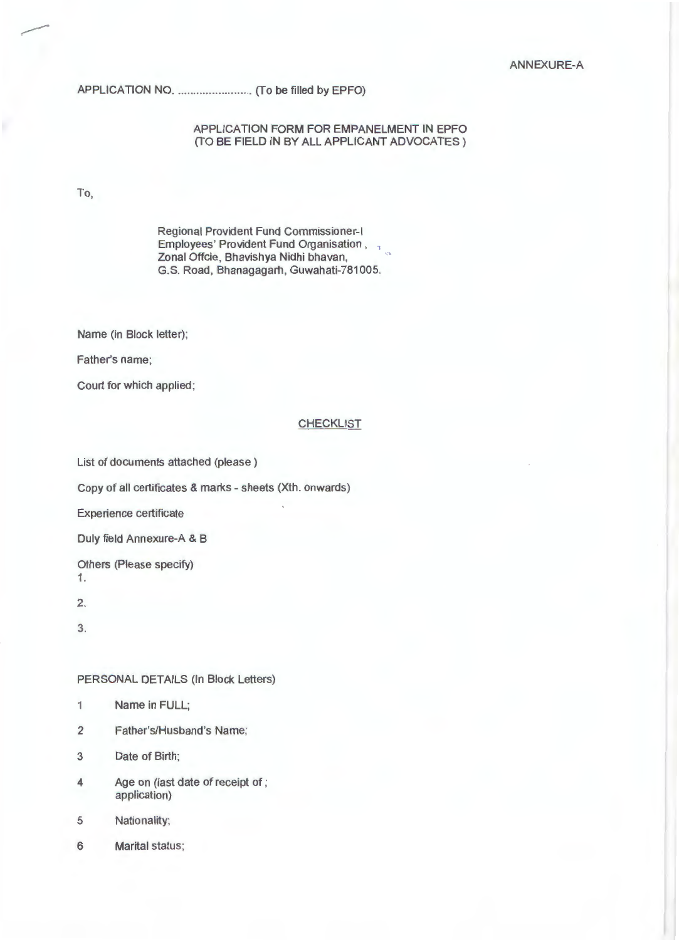### ANNEXURE-A

# APPLICATION NO ....... .................. (To be filled by EPFO)

### APPLICATION FORM FOR EMPANELMENT IN EPFO (TO BE FIELD IN BY ALL APPLICANT ADVOCATES )

To,

Regional Provident Fund Commissioner-I Employees' Provident Fund Organisation, Zonal Offcie, Bhavishya Nidhi bhavan, G.S. Road, Bhanagagarh, Guwahati-781005.

Name (in Block letter);

Father's name;

Court for which applied;

### CHECKLIST

List of documents attached (please)

Copy of all certificates & marks - sheets (Xth. onwards)

Experience certificate

Duly field Annexure-A & B

Others (Please specify) 1.

2.

3.

### PERSONAL DETAILS (In Block Letters)

- 1 Name in FULL;
- 2 Father's/Husband's Name;
- 3 Date of Birth;
- 4 Age on (last date of receipt of ; application)
- 5 Nationality;
- 6 Marital status;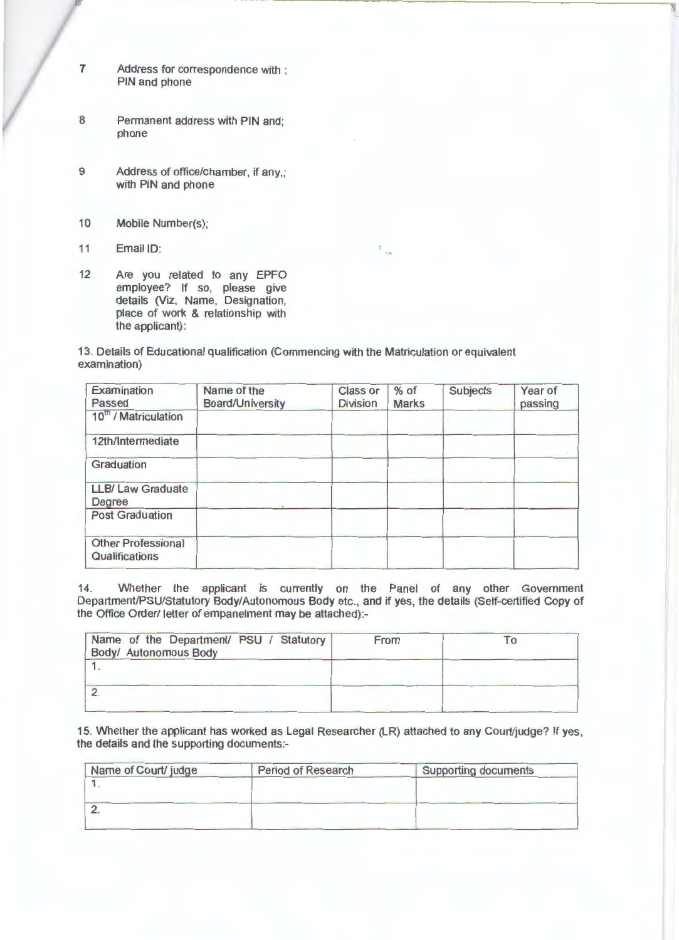- 7 Address for correspondence with ; PIN and phone
- 8 Permanent address with PIN and; phone
- 9 Address of office/chamber, if any,; with PIN and phone
- 10 Mobile Number(s);
- 11 Email ID:
- 12 Are you related to any EPFO employee? If so, please give details (Viz, Name, Designation, place of work & relationship with the applicant):

13. Details of Educational qualification (Commencing with the Matriculation or equivalent examination)

| Examination<br>Passed                       | Name of the<br>Board/University | <b>Class or</b><br><b>Division</b> | $%$ of<br><b>Marks</b> | <b>Subjects</b> | Year of<br>passing |
|---------------------------------------------|---------------------------------|------------------------------------|------------------------|-----------------|--------------------|
| 10 <sup>th</sup> / Matriculation            |                                 |                                    |                        |                 |                    |
| 12th/Intermediate                           |                                 |                                    |                        |                 |                    |
| Graduation                                  |                                 |                                    |                        |                 |                    |
| <b>LLB/ Law Graduate</b><br>Degree          |                                 |                                    |                        |                 |                    |
| <b>Post Graduation</b>                      |                                 |                                    |                        |                 |                    |
| <b>Other Professional</b><br>Qualifications |                                 |                                    |                        |                 |                    |

 $\frac{1}{4B}$ 

14. Whether the applicant is currently on the Panel of any other Government Department/PSU/Statutory Body/Autonomous Body etc., and if yes, the details (Self-certified Copy of the Office Order/ letter of empanelment may be attached):-

| Name of the Department/ PSU / Statutory<br>Body/ Autonomous Body | From |  |
|------------------------------------------------------------------|------|--|
|                                                                  |      |  |
|                                                                  |      |  |

15. Whether the applicant has worked as Legal Researcher (LR) attached to any Court/judge? If yes , the details and the supporting documents:-

| Name of Court/ judge | <b>Period of Research</b> | <b>Supporting documents</b> |
|----------------------|---------------------------|-----------------------------|
|                      |                           |                             |
|                      |                           |                             |
|                      |                           |                             |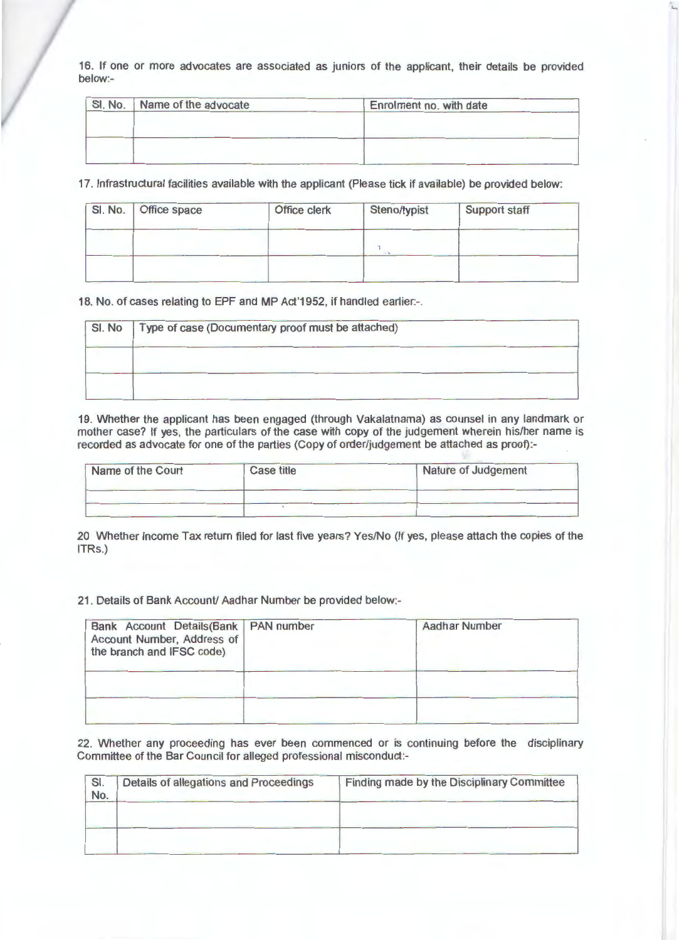16. If one or more advocates are associated as juniors of the applicant, their details be provided below:-

. ....

| SI. No. Name of the advocate | Enrolment no. with date |
|------------------------------|-------------------------|
|                              |                         |
|                              |                         |
|                              |                         |
|                              |                         |

17. Infrastructural facilities available with the applicant (Please tick if available) be provided below:

| SI. No. Office space | Office clerk | Steno/typist | <b>Support staff</b> |
|----------------------|--------------|--------------|----------------------|
|                      |              |              |                      |
|                      |              |              |                      |

18. No. of cases relating to EPF and MP Act'1952, if handled earlier:-.

| SI. No | Type of case (Documentary proof must be attached) |  |  |  |
|--------|---------------------------------------------------|--|--|--|
|        |                                                   |  |  |  |
|        |                                                   |  |  |  |

19. Whether the applicant has been engaged (through Vakalatnama) as counsel in any landmark or mother case? If yes, the particulars of the case with copy of the judgement wherein his/her name is recorded as advocate for one of the parties (Copy of order/judgement be attached as proof):-

| Name of the Court | <b>Case title</b> | Nature of Judgement |
|-------------------|-------------------|---------------------|
|                   |                   |                     |
|                   |                   |                     |

20 Whether Income Tax return filed for last five years? Yes/No (If yes, please attach the copies of the ITRs.)

21 . Details of Bank Account/ Aadhar Number be provided below:-

| Bank Account Details (Bank   PAN number<br>Account Number, Address of<br>the branch and IFSC code). | <b>Aadhar Number</b> |
|-----------------------------------------------------------------------------------------------------|----------------------|
|                                                                                                     |                      |

22. Whether any proceeding has ever been commenced or is continuing before the disciplinary Committee of the Bar Council for alleged professional misconduct:-

| SI.<br>No. | Details of allegations and Proceedings | Finding made by the Disciplinary Committee |
|------------|----------------------------------------|--------------------------------------------|
|            |                                        |                                            |
|            |                                        |                                            |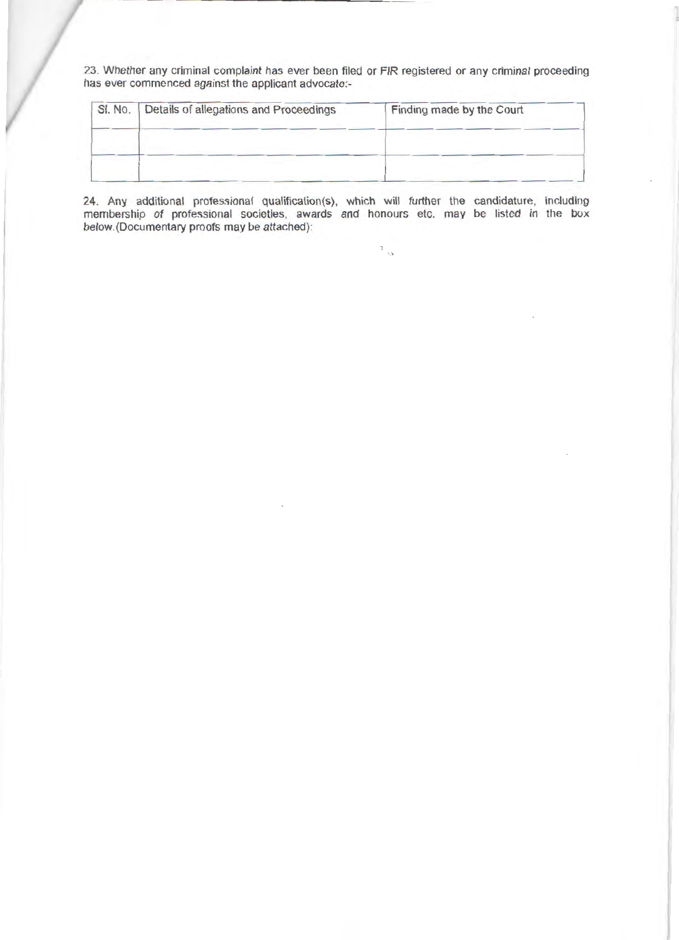23. Whether any criminal complaint has ever been filed or FIR registered or any criminal proceeding has ever commenced against the applicant advocate:-

| SI. No. | Details of allegations and Proceedings | Finding made by the Court |
|---------|----------------------------------------|---------------------------|
|         |                                        |                           |
|         |                                        |                           |
|         |                                        |                           |

24. Any additional professional qualification(s), which will further the candidature, including membership of professional societies, awards and honours etc. may be listed in the box below.(Documentary proofs may be attached):

 $\mathbb{E}_{\mathbb{Q}_p}$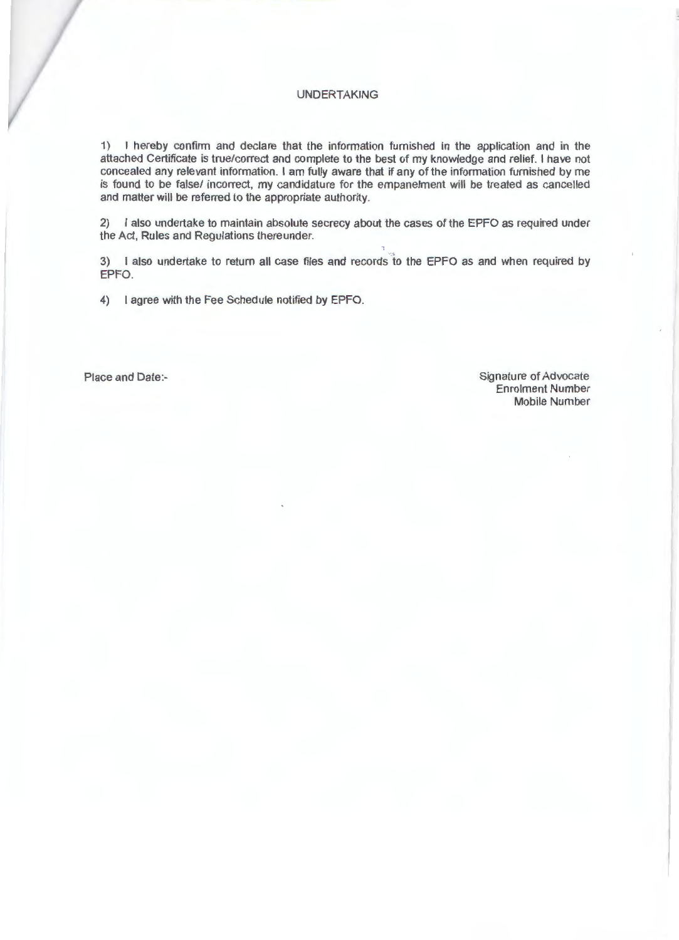### UNDERTAKING

1) I hereby confinn and declare that the information furnished in the application and in the attached Certificate is true/correct and complete to the best of my knowledge and relief. I have not concealed any relevant information. I am fully aware that if any of the information furnished by me is found to be false/ incorrect, my candidature for the empanelment will be treated as cancelled and matter will be referred to the appropriate authority.

2) I also undertake to maintain absolute secrecy about the cases of the EPFO as required under the Act, Rules and Regulations thereunder.

3) I also undertake to return all case files and records to the EPFO as and when required by EPFO.

4) I agree with the Fee Schedule notified by EPFO.

Place and Date:- Signature of Advocate Enrolment Number Mobile Number